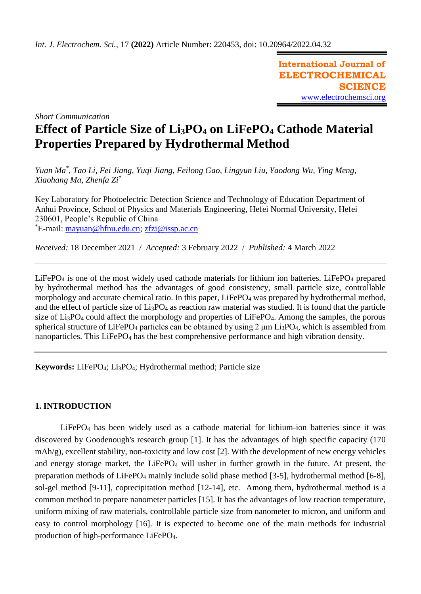**International Journal of ELECTROCHEMICAL SCIENCE** [www.electrochemsci.org](http://www.electrochemsci.org/)

*Short Communication*

# **Effect of Particle Size of Li3PO<sup>4</sup> on LiFePO<sup>4</sup> Cathode Material Properties Prepared by Hydrothermal Method**

*Yuan Ma\* , Tao Li, Fei Jiang, Yuqi Jiang, Feilong Gao, Lingyun Liu, Yaodong Wu, Ying Meng, Xiaohang Ma, Zhenfa Zi\**

Key Laboratory for Photoelectric Detection Science and Technology of Education Department of Anhui Province, School of Physics and Materials Engineering, Hefei Normal University, Hefei 230601, People's Republic of China \*E-mail: [mayuan@hfnu.edu.cn;](mailto:mayuan@hfnu.edu.cn) [zfzi@issp.ac.cn](mailto:zfzi@issp.ac.cn)

*Received:* 18 December 2021/ *Accepted:* 3 February 2022 / *Published:* 4 March 2022

 $LiFePO<sub>4</sub>$  is one of the most widely used cathode materials for lithium ion batteries. LiFePO<sub>4</sub> prepared by hydrothermal method has the advantages of good consistency, small particle size, controllable morphology and accurate chemical ratio. In this paper, LiFePO<sub>4</sub> was prepared by hydrothermal method, and the effect of particle size of Li3PO<sup>4</sup> as reaction raw material was studied. It is found that the particle size of Li<sub>3</sub>PO<sub>4</sub> could affect the morphology and properties of LiFePO<sub>4</sub>. Among the samples, the porous spherical structure of LiFePO<sub>4</sub> particles can be obtained by using 2 μm Li<sub>3</sub>PO<sub>4</sub>, which is assembled from nanoparticles. This LiFePO<sub>4</sub> has the best comprehensive performance and high vibration density.

**Keywords:** LiFePO4; Li3PO4; Hydrothermal method; Particle size

# **1. INTRODUCTION**

LiFePO<sup>4</sup> has been widely used as a cathode material for lithium-ion batteries since it was discovered by Goodenough's research group [1]. It has the advantages of high specific capacity (170 mAh/g), excellent stability, non-toxicity and low cost [2]. With the development of new energy vehicles and energy storage market, the LiFePO<sub>4</sub> will usher in further growth in the future. At present, the preparation methods of LiFePO<sub>4</sub> mainly include solid phase method [3-5], hydrothermal method [6-8], sol-gel method [9-11], coprecipitation method [12-14], etc. Among them, hydrothermal method is a common method to prepare nanometer particles [15]. It has the advantages of low reaction temperature, uniform mixing of raw materials, controllable particle size from nanometer to micron, and uniform and easy to control morphology [16]. It is expected to become one of the main methods for industrial production of high-performance LiFePO4.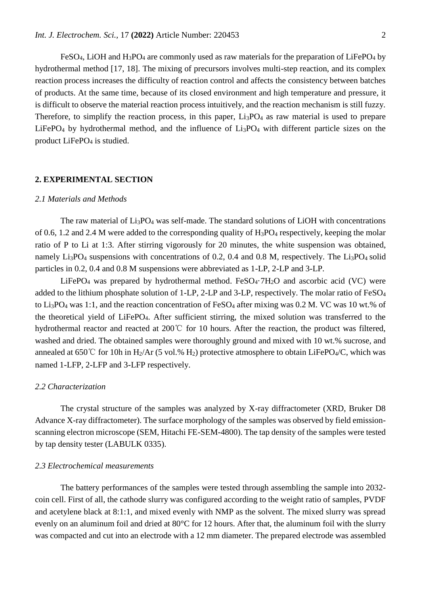FeSO<sub>4</sub>, LiOH and H<sub>3</sub>PO<sub>4</sub> are commonly used as raw materials for the preparation of LiFePO<sub>4</sub> by hydrothermal method [17, 18]. The mixing of precursors involves multi-step reaction, and its complex reaction process increases the difficulty of reaction control and affects the consistency between batches of products. At the same time, because of its closed environment and high temperature and pressure, it is difficult to observe the material reaction process intuitively, and the reaction mechanism is still fuzzy. Therefore, to simplify the reaction process, in this paper,  $Li<sub>3</sub>PO<sub>4</sub>$  as raw material is used to prepare LiFePO<sub>4</sub> by hydrothermal method, and the influence of Li<sub>3</sub>PO<sub>4</sub> with different particle sizes on the product LiFePO<sub>4</sub> is studied.

#### **2. EXPERIMENTAL SECTION**

## *2.1 Materials and Methods*

The raw material of  $Li<sub>3</sub>PO<sub>4</sub>$  was self-made. The standard solutions of LiOH with concentrations of 0.6, 1.2 and 2.4 M were added to the corresponding quality of  $H_3PO_4$  respectively, keeping the molar ratio of P to Li at 1:3. After stirring vigorously for 20 minutes, the white suspension was obtained, namely  $Li_3PO_4$  suspensions with concentrations of 0.2, 0.4 and 0.8 M, respectively. The  $Li_3PO_4$  solid particles in 0.2, 0.4 and 0.8 M suspensions were abbreviated as 1-LP, 2-LP and 3-LP.

LiFePO<sub>4</sub> was prepared by hydrothermal method. FeSO<sub>4</sub> $\cdot$ 7H<sub>2</sub>O and ascorbic acid (VC) were added to the lithium phosphate solution of 1-LP, 2-LP and 3-LP, respectively. The molar ratio of FeSO<sub>4</sub> to Li<sub>3</sub>PO<sub>4</sub> was 1:1, and the reaction concentration of FeSO<sub>4</sub> after mixing was 0.2 M. VC was 10 wt.% of the theoretical yield of LiFePO4. After sufficient stirring, the mixed solution was transferred to the hydrothermal reactor and reacted at 200℃ for 10 hours. After the reaction, the product was filtered, washed and dried. The obtained samples were thoroughly ground and mixed with 10 wt.% sucrose, and annealed at 650°C for 10h in H<sub>2</sub>/Ar (5 vol.% H<sub>2</sub>) protective atmosphere to obtain LiFePO<sub>4</sub>/C, which was named 1-LFP, 2-LFP and 3-LFP respectively.

#### *2.2 Characterization*

The crystal structure of the samples was analyzed by X-ray diffractometer (XRD, Bruker D8 Advance X-ray diffractometer). The surface morphology of the samples was observed by field emissionscanning electron microscope (SEM, Hitachi FE-SEM-4800). The tap density of the samples were tested by tap density tester (LABULK 0335).

#### *2.3 Electrochemical measurements*

The battery performances of the samples were tested through assembling the sample into 2032 coin cell. First of all, the cathode slurry was configured according to the weight ratio of samples, PVDF and acetylene black at 8:1:1, and mixed evenly with NMP as the solvent. The mixed slurry was spread evenly on an aluminum foil and dried at 80°C for 12 hours. After that, the aluminum foil with the slurry was compacted and cut into an electrode with a 12 mm diameter. The prepared electrode was assembled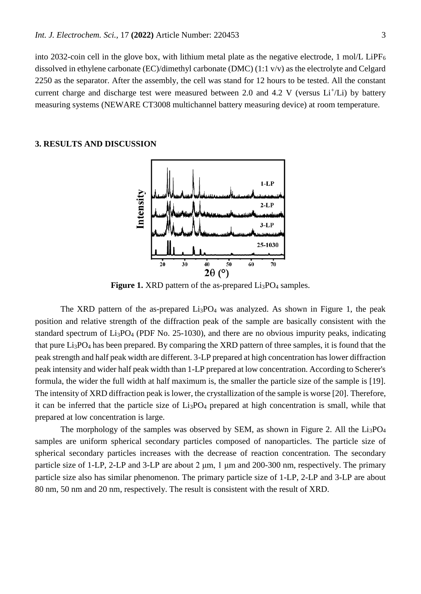into 2032-coin cell in the glove box, with lithium metal plate as the negative electrode, 1 mol/L LiPF<sub>6</sub> dissolved in ethylene carbonate (EC)/dimethyl carbonate (DMC) (1:1 v/v) as the electrolyte and Celgard 2250 as the separator. After the assembly, the cell was stand for 12 hours to be tested. All the constant current charge and discharge test were measured between 2.0 and 4.2 V (versus  $Li<sup>+</sup>/Li$ ) by battery measuring systems (NEWARE CT3008 multichannel battery measuring device) at room temperature.

## **3. RESULTS AND DISCUSSION**



**Figure 1.** XRD pattern of the as-prepared Li<sub>3</sub>PO<sub>4</sub> samples.

The XRD pattern of the as-prepared  $Li<sub>3</sub>PO<sub>4</sub>$  was analyzed. As shown in Figure 1, the peak position and relative strength of the diffraction peak of the sample are basically consistent with the standard spectrum of  $Li<sub>3</sub>PO<sub>4</sub>$  (PDF No. 25-1030), and there are no obvious impurity peaks, indicating that pure Li3PO<sup>4</sup> has been prepared. By comparing the XRD pattern of three samples, it is found that the peak strength and half peak width are different. 3-LP prepared at high concentration has lower diffraction peak intensity and wider half peak width than 1-LP prepared at low concentration. According to Scherer's formula, the wider the full width at half maximum is, the smaller the particle size of the sample is [19]. The intensity of XRD diffraction peak is lower, the crystallization of the sample is worse [20]. Therefore, it can be inferred that the particle size of  $Li<sub>3</sub>PO<sub>4</sub>$  prepared at high concentration is small, while that prepared at low concentration is large.

The morphology of the samples was observed by SEM, as shown in Figure 2. All the  $Li_3PO_4$ samples are uniform spherical secondary particles composed of nanoparticles. The particle size of spherical secondary particles increases with the decrease of reaction concentration. The secondary particle size of 1-LP, 2-LP and 3-LP are about 2 μm, 1 μm and 200-300 nm, respectively. The primary particle size also has similar phenomenon. The primary particle size of 1-LP, 2-LP and 3-LP are about 80 nm, 50 nm and 20 nm, respectively. The result is consistent with the result of XRD.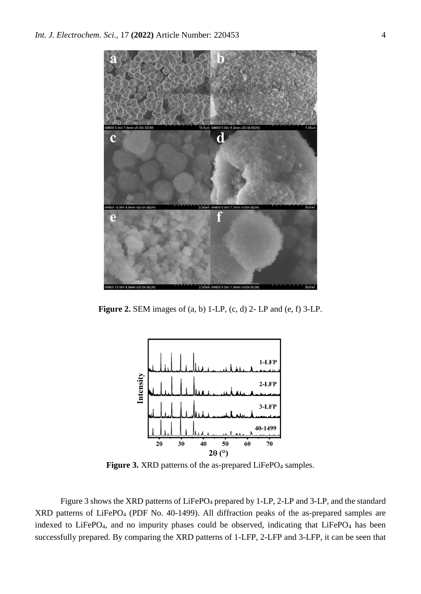

**Figure 2.** SEM images of (a, b) 1-LP, (c, d) 2- LP and (e, f) 3-LP.



Figure 3. XRD patterns of the as-prepared LiFePO<sub>4</sub> samples.

Figure 3 shows the XRD patterns of LiFePO<sub>4</sub> prepared by 1-LP, 2-LP and 3-LP, and the standard XRD patterns of LiFePO<sup>4</sup> (PDF No. 40-1499). All diffraction peaks of the as-prepared samples are indexed to LiFePO<sub>4</sub>, and no impurity phases could be observed, indicating that LiFePO<sub>4</sub> has been successfully prepared. By comparing the XRD patterns of 1-LFP, 2-LFP and 3-LFP, it can be seen that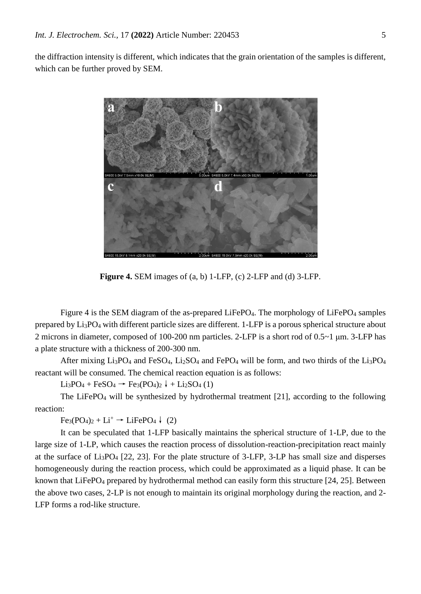the diffraction intensity is different, which indicates that the grain orientation of the samples is different, which can be further proved by SEM.



**Figure 4.** SEM images of (a, b) 1-LFP, (c) 2-LFP and (d) 3-LFP.

Figure 4 is the SEM diagram of the as-prepared LiFePO<sub>4</sub>. The morphology of LiFePO<sub>4</sub> samples prepared by Li3PO<sup>4</sup> with different particle sizes are different. 1-LFP is a porous spherical structure about 2 microns in diameter, composed of 100-200 nm particles. 2-LFP is a short rod of 0.5~1 μm. 3-LFP has a plate structure with a thickness of 200-300 nm.

After mixing  $Li_3PO_4$  and FeSO<sub>4</sub>,  $Li_2SO_4$  and FePO<sub>4</sub> will be form, and two thirds of the  $Li_3PO_4$ reactant will be consumed. The chemical reaction equation is as follows:

 $Li_3PO_4 + FeSO_4$  →  $Fe_3(PO_4)_2$  ↓ +  $Li_2SO_4$  (1)

The LiFePO<sub>4</sub> will be synthesized by hydrothermal treatment  $[21]$ , according to the following reaction:

 $Fe<sub>3</sub>(PO<sub>4</sub>)<sub>2</sub> + Li<sup>+</sup> \rightarrow LiFePO<sub>4</sub> \ (2)$ 

It can be speculated that 1-LFP basically maintains the spherical structure of 1-LP, due to the large size of 1-LP, which causes the reaction process of dissolution-reaction-precipitation react mainly at the surface of  $Li_3PO_4$  [22, 23]. For the plate structure of 3-LFP, 3-LP has small size and disperses homogeneously during the reaction process, which could be approximated as a liquid phase. It can be known that LiFePO<sub>4</sub> prepared by hydrothermal method can easily form this structure [24, 25]. Between the above two cases, 2-LP is not enough to maintain its original morphology during the reaction, and 2- LFP forms a rod-like structure.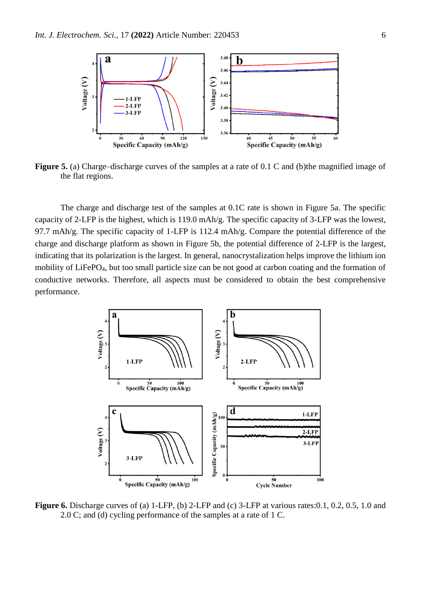

**Figure 5.** (a) Charge–discharge curves of the samples at a rate of 0.1 C and (b)the magnified image of the flat regions.

The charge and discharge test of the samples at 0.1C rate is shown in Figure 5a. The specific capacity of 2-LFP is the highest, which is 119.0 mAh/g. The specific capacity of 3-LFP was the lowest, 97.7 mAh/g. The specific capacity of 1-LFP is 112.4 mAh/g. Compare the potential difference of the charge and discharge platform as shown in Figure 5b, the potential difference of 2-LFP is the largest, indicating that its polarization is the largest. In general, nanocrystalization helps improve the lithium ion mobility of LiFePO4, but too small particle size can be not good at carbon coating and the formation of conductive networks. Therefore, all aspects must be considered to obtain the best comprehensive performance.



**Figure 6.** Discharge curves of (a) 1-LFP, (b) 2-LFP and (c) 3-LFP at various rates:0.1, 0.2, 0.5, 1.0 and 2.0 C; and (d) cycling performance of the samples at a rate of 1 C.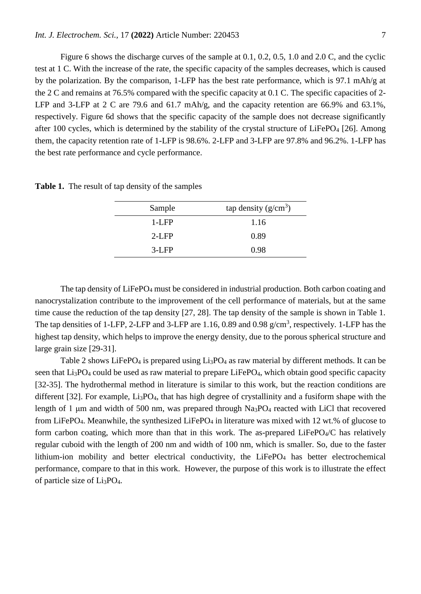Figure 6 shows the discharge curves of the sample at 0.1, 0.2, 0.5, 1.0 and 2.0 C, and the cyclic test at 1 C. With the increase of the rate, the specific capacity of the samples decreases, which is caused by the polarization. By the comparison, 1-LFP has the best rate performance, which is 97.1 mAh/g at the 2 C and remains at 76.5% compared with the specific capacity at 0.1 C. The specific capacities of 2- LFP and 3-LFP at 2 C are 79.6 and 61.7 mAh/g, and the capacity retention are 66.9% and 63.1%, respectively. Figure 6d shows that the specific capacity of the sample does not decrease significantly after 100 cycles, which is determined by the stability of the crystal structure of LiFePO<sub>4</sub> [26]. Among them, the capacity retention rate of 1-LFP is 98.6%. 2-LFP and 3-LFP are 97.8% and 96.2%. 1-LFP has the best rate performance and cycle performance.

| Sample   | tap density $(g/cm^3)$ |
|----------|------------------------|
| $1-I$ FP | 1.16                   |
| $2-I$ FP | 0.89                   |
| $3-I$ FP | 0.98                   |

**Table 1.** The result of tap density of the samples

The tap density of LiFePO<sub>4</sub> must be considered in industrial production. Both carbon coating and nanocrystalization contribute to the improvement of the cell performance of materials, but at the same time cause the reduction of the tap density [27, 28]. The tap density of the sample is shown in Table 1. The tap densities of 1-LFP, 2-LFP and 3-LFP are 1.16, 0.89 and 0.98  $g/cm<sup>3</sup>$ , respectively. 1-LFP has the highest tap density, which helps to improve the energy density, due to the porous spherical structure and large grain size [29-31].

Table 2 shows LiFePO<sub>4</sub> is prepared using  $Li<sub>3</sub>PO<sub>4</sub>$  as raw material by different methods. It can be seen that Li<sub>3</sub>PO<sub>4</sub> could be used as raw material to prepare LiFePO<sub>4</sub>, which obtain good specific capacity [32-35]. The hydrothermal method in literature is similar to this work, but the reaction conditions are different [32]. For example, Li<sub>3</sub>PO<sub>4</sub>, that has high degree of crystallinity and a fusiform shape with the length of 1 μm and width of 500 nm, was prepared through Na3PO<sup>4</sup> reacted with LiCl that recovered from LiFePO<sub>4</sub>. Meanwhile, the synthesized LiFePO<sub>4</sub> in literature was mixed with 12 wt.% of glucose to form carbon coating, which more than that in this work. The as-prepared LiFePO<sub>4</sub>/C has relatively regular cuboid with the length of 200 nm and width of 100 nm, which is smaller. So, due to the faster lithium-ion mobility and better electrical conductivity, the  $LiFePO<sub>4</sub>$  has better electrochemical performance, compare to that in this work. However, the purpose of this work is to illustrate the effect of particle size of Li3PO4.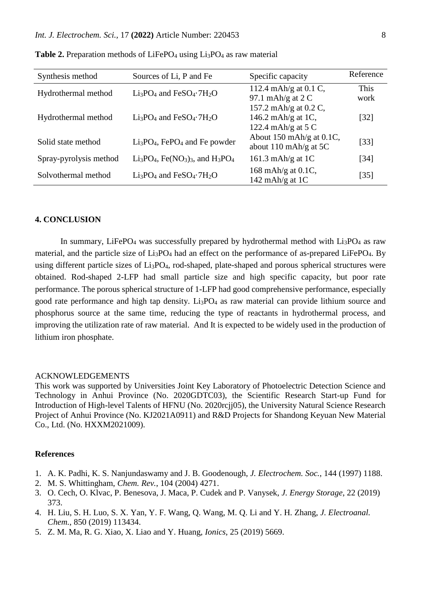| Synthesis method                                                 | Sources of Li, P and Fe                                                             | Specific capacity                | Reference          |
|------------------------------------------------------------------|-------------------------------------------------------------------------------------|----------------------------------|--------------------|
| Hydrothermal method                                              | $Li3PO4$ and FeSO <sub>4</sub> $\cdot$ 7H <sub>2</sub> O                            | 112.4 mAh/g at $0.1 \text{ C}$ , | This               |
|                                                                  |                                                                                     | 97.1 mAh/g at $2C$               | work               |
|                                                                  |                                                                                     | 157.2 mAh/g at 0.2 C,            |                    |
| Hydrothermal method                                              | $Li3PO4$ and FeSO <sub>4</sub> $\cdot$ 7H <sub>2</sub> O                            | 146.2 mAh/g at 1C,               | $\lceil 32 \rceil$ |
|                                                                  |                                                                                     | 122.4 mAh/g at $5 \text{ C}$     |                    |
| $Li3PO4$ , FePO <sub>4</sub> and Fe powder<br>Solid state method |                                                                                     | About 150 mAh/g at 0.1C,         |                    |
|                                                                  | about 110 mAh/g at $5C$                                                             | $[33]$                           |                    |
| Spray-pyrolysis method                                           | $Li_3PO_4$ , Fe(NO <sub>3</sub> ) <sub>3</sub> , and H <sub>3</sub> PO <sub>4</sub> | 161.3 mAh/g at $1C$              | $\lceil 34 \rceil$ |
| Solvothermal method                                              | $Li3PO4$ and FeSO <sub>4</sub> $\cdot$ 7H <sub>2</sub> O                            | 168 mAh/g at 0.1C,               |                    |
|                                                                  |                                                                                     | 142 mAh/g at $1C$                | $[35]$             |

**Table 2.** Preparation methods of LiFePO<sub>4</sub> using Li<sub>3</sub>PO<sub>4</sub> as raw material

### **4. CONCLUSION**

In summary, LiFePO<sub>4</sub> was successfully prepared by hydrothermal method with  $Li<sub>3</sub>PO<sub>4</sub>$  as raw material, and the particle size of  $Li_3PO_4$  had an effect on the performance of as-prepared LiFePO<sub>4</sub>. By using different particle sizes of Li3PO4, rod-shaped, plate-shaped and porous spherical structures were obtained. Rod-shaped 2-LFP had small particle size and high specific capacity, but poor rate performance. The porous spherical structure of 1-LFP had good comprehensive performance, especially good rate performance and high tap density. Li3PO<sup>4</sup> as raw material can provide lithium source and phosphorus source at the same time, reducing the type of reactants in hydrothermal process, and improving the utilization rate of raw material. And It is expected to be widely used in the production of lithium iron phosphate.

#### ACKNOWLEDGEMENTS

This work was supported by Universities Joint Key Laboratory of Photoelectric Detection Science and Technology in Anhui Province (No. 2020GDTC03), the Scientific Research Start-up Fund for Introduction of High-level Talents of HFNU (No. 2020rcjj05), the University Natural Science Research Project of Anhui Province (No. KJ2021A0911) and R&D Projects for Shandong Keyuan New Material Co., Ltd. (No. HXXM2021009).

#### **References**

- 1. A. K. Padhi, K. S. Nanjundaswamy and J. B. Goodenough, *J. Electrochem. Soc.*, 144 (1997) 1188.
- 2. M. S. Whittingham, *Chem. Rev.*, 104 (2004) 4271.
- 3. O. Cech, O. Klvac, P. Benesova, J. Maca, P. Cudek and P. Vanysek, *J. Energy Storage*, 22 (2019) 373.
- 4. H. Liu, S. H. Luo, S. X. Yan, Y. F. Wang, Q. Wang, M. Q. Li and Y. H. Zhang, *J. Electroanal. Chem.*, 850 (2019) 113434.
- 5. Z. M. Ma, R. G. Xiao, X. Liao and Y. Huang, *Ionics*, 25 (2019) 5669.